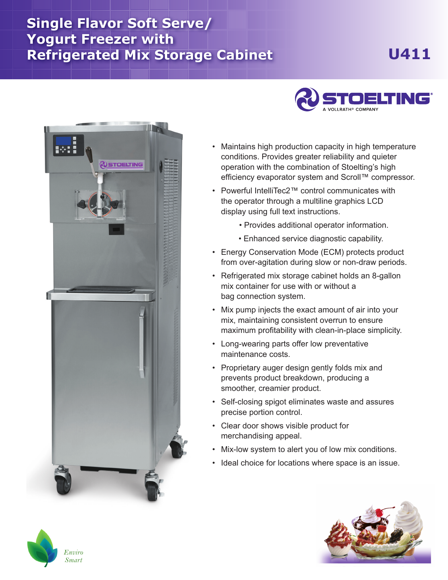## **Single Flavor Soft Serve/ Yogurt Freezer with Refrigerated Mix Storage Cabinet U411**





- Maintains high production capacity in high temperature conditions. Provides greater reliability and quieter operation with the combination of Stoelting's high efficiency evaporator system and Scroll™ compressor.
- Powerful IntelliTec2™ control communicates with the operator through a multiline graphics LCD display using full text instructions.
	- Provides additional operator information.
	- Enhanced service diagnostic capability.
- Energy Conservation Mode (ECM) protects product from over-agitation during slow or non-draw periods.
- Refrigerated mix storage cabinet holds an 8-gallon mix container for use with or without a bag connection system.
- Mix pump injects the exact amount of air into your mix, maintaining consistent overrun to ensure maximum profitability with clean-in-place simplicity.
- Long-wearing parts offer low preventative maintenance costs.
- Proprietary auger design gently folds mix and prevents product breakdown, producing a smoother, creamier product.
- Self-closing spigot eliminates waste and assures precise portion control.
- Clear door shows visible product for merchandising appeal.
- Mix-low system to alert you of low mix conditions.
- Ideal choice for locations where space is an issue.